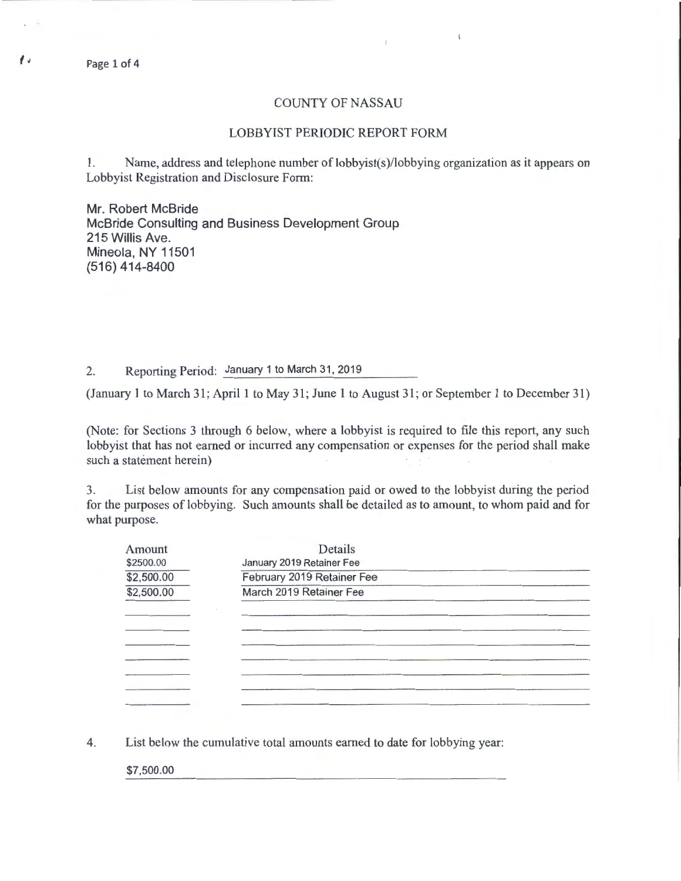Page 1 of 4

## COUNTY OF NASSAU

ţ.

## LOBBYIST PERIODIC REPORT FORM

1. Name, address and telephone number of lobbyist(s)/lobbying organization as it appears on Lobbyist Registration and Disclosure Form:

Mr. Robert McBride McBride Consulting and Business Development Group 215 Willis Ave. Mineola, NY 11501 (516) 414-8400

2. Reporting Period: January 1 to March 31, 2019

(January 1 to March 31; April 1 to May 31; June 1 to August 31; or September 1 to December 31)

(Note: for Sections 3 through 6 below, where a lobbyist is required to file this report, any such lobbyist that has not earned or incurred any compensation or expenses for the period shall make such a statement herein)

3. List below amounts for any compensation paid or owed to the lobbyist during the period for the purposes of lobbying. Such amounts shall be detailed as to amount, to whom paid and for what purpose.

| Amount     | Details                    |  |
|------------|----------------------------|--|
| \$2500.00  | January 2019 Retainer Fee  |  |
| \$2,500.00 | February 2019 Retainer Fee |  |
| \$2,500.00 | March 2019 Retainer Fee    |  |
|            |                            |  |
|            |                            |  |
|            |                            |  |
|            |                            |  |
|            |                            |  |
|            |                            |  |
|            |                            |  |

4. List below the cumulative total amounts earned to date for lobbying year:

\$7,500.00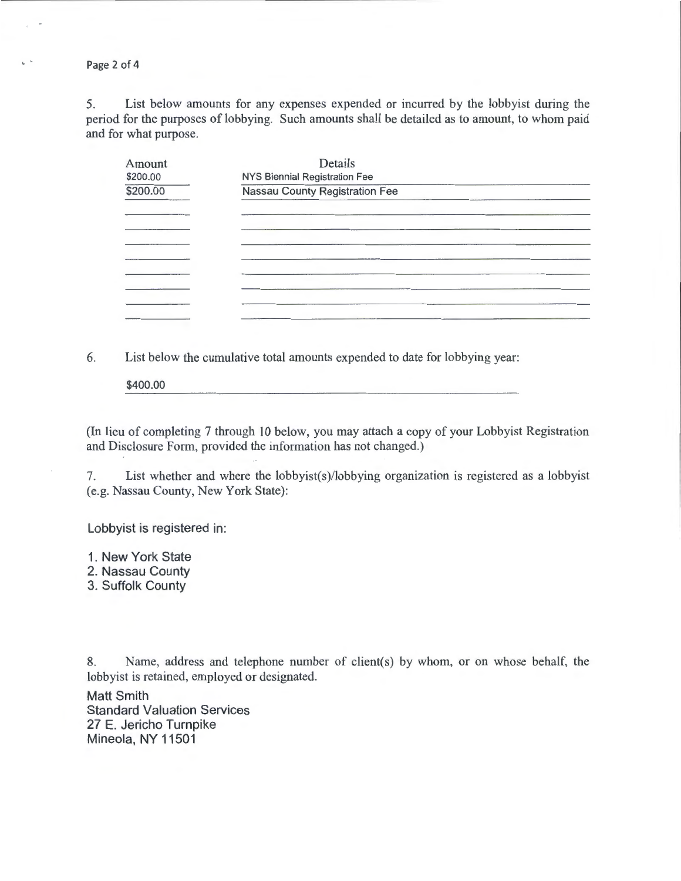Page 2 of 4

 $\mathbf{L}^{-1}$ 

5. List below amounts for any expenses expended or incurred by the lobbyist during the period for the purposes of lobbying. Such amounts shall be detailed as to amount, to whom paid and for what purpose.

| Amount   | Details                               |  |
|----------|---------------------------------------|--|
| \$200.00 | NYS Biennial Registration Fee         |  |
| \$200.00 | <b>Nassau County Registration Fee</b> |  |
|          |                                       |  |
|          |                                       |  |
|          |                                       |  |
|          |                                       |  |
|          |                                       |  |
|          |                                       |  |
|          |                                       |  |
|          |                                       |  |

6. List below the cumulative total amounts expended to date for lobbying year:

\$400.00

(In lieu of completing 7 through 10 below, you may attach a copy of your Lobbyist Registration and Disclosure Form, provided the information has not changed.)

7. List whether and where the lobbyist(s)/lobbying organization is registered as a lobbyist (e.g. Nassau County, New York State):

Lobbyist is registered in:

1. New York State

2. Nassau County

3. Suffolk County

8. Name, address and telephone number of client(s) by whom, or on whose behalf, the lobbyist is retained, employed or designated.

Matt Smith Standard Valuation Services 27 E. Jericho Turnpike Mineola, NY 11501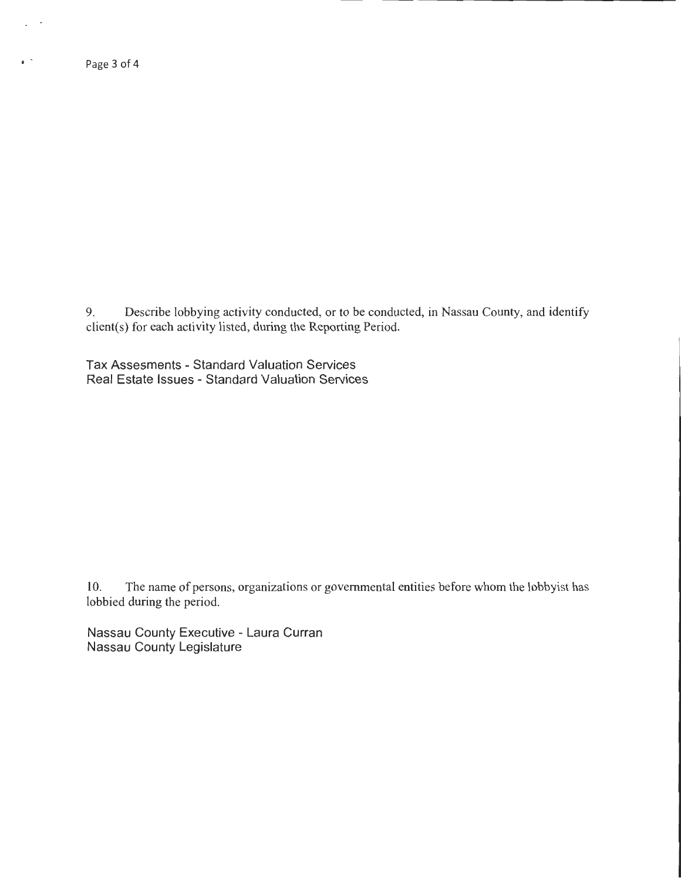$\epsilon^{-1}$ 

9. Describe lobbying activity conducted, or to be conducted, in Nassau County, and identify client(s) for each activity listed, during the Reporting Period.

Tax Assesments- Standard Valuation Services Real Estate Issues - Standard Valuation Services

10. The name of persons, organizations or governmental entities before whom the lobbyist has lobbied during the period.

Nassau County Executive - Laura Curran Nassau County Legislature